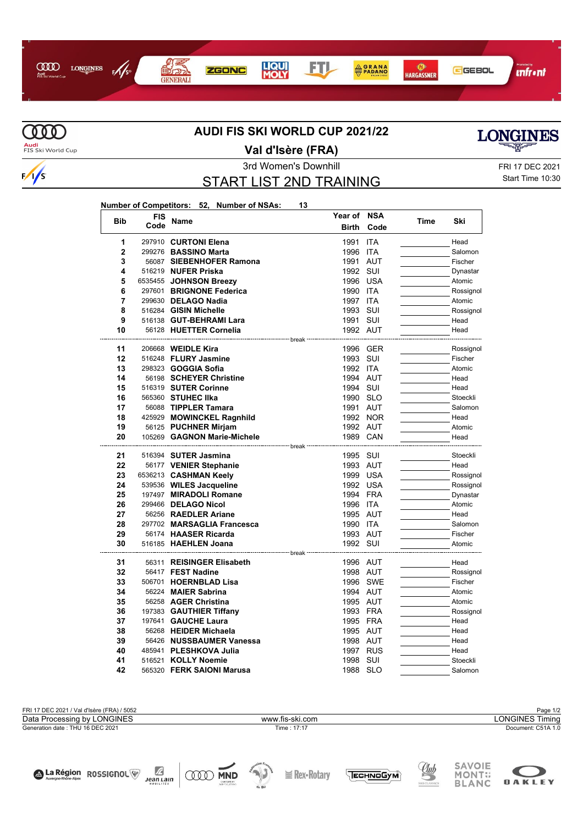



 $\sqrt{s}$ 

## **AUDI FIS SKI WORLD CUP 2021/22**



 $\ddot{\phantom{a}}$ 

L,

 $\overline{a}$ 

La Région ROSSIGNOL

Æ

JeanLain

**ODD MND** 

## **Val d'Isère (FRA)**

3rd Women's Downhill FRI 17 DEC 2021

**Year of NSA**

## START LIST 2ND TRAINING

Start Time 10:30

**LONGINES** 

SAVOIE

MONT:

**OAKLEY** 

<u>Uub</u>

TECHNOGYM

| Number of Competitors: 52, Number of NSAs: |  |  | 13 |
|--------------------------------------------|--|--|----|
|--------------------------------------------|--|--|----|

| <b>Bib</b>     | FIS  | Name                                                    | Year of      | <b>NSA</b> | <b>Time</b> | Ski       |
|----------------|------|---------------------------------------------------------|--------------|------------|-------------|-----------|
|                | Code |                                                         | <b>Birth</b> | Code       |             |           |
| 1              |      | 297910 CURTONI Elena                                    | 1991         | <b>ITA</b> |             | Head      |
| $\overline{2}$ |      | 299276 BASSINO Marta                                    | 1996         | <b>ITA</b> |             | Salomon   |
| 3              |      | 56087 SIEBENHOFER Ramona                                | 1991 AUT     |            |             | Fischer   |
| 4              |      | 516219 NUFER Priska                                     | 1992         | SUI        |             | Dynastar  |
| 5              |      | 6535455 JOHNSON Breezy                                  | 1996         | <b>USA</b> |             | Atomic    |
| 6              |      | 297601 BRIGNONE Federica                                | 1990 ITA     |            |             | Rossignol |
| 7              |      | 299630 DELAGO Nadia                                     | 1997         | <b>ITA</b> |             | Atomic    |
| 8              |      | 516284 GISIN Michelle                                   | 1993         | SUI        |             | Rossignol |
| 9              |      | 516138 GUT-BEHRAMI Lara                                 | 1991         | SUI        |             | Head      |
| 10             |      | 56128 HUETTER Cornelia                                  | 1992 AUT     |            |             | Head      |
|                |      | ----------------------- break ·                         |              |            |             |           |
| 11             |      | 206668 <b>WEIDLE Kira</b>                               | 1996 GER     |            |             | Rossignol |
| 12             |      | 516248 FLURY Jasmine                                    | 1993         | SUI        |             | Fischer   |
| 13             |      | 298323 GOGGIA Sofia                                     | 1992 ITA     |            |             | Atomic    |
| 14             |      | 56198 SCHEYER Christine                                 | 1994 AUT     |            |             | Head      |
| 15             |      | 516319 SUTER Corinne                                    | 1994 SUI     |            |             | Head      |
| 16             |      | 565360 STUHEC IIka                                      | 1990 SLO     |            |             | Stoeckli  |
| 17             |      | 56088 TIPPLER Tamara                                    | 1991 AUT     |            |             | Salomon   |
| 18             |      | 425929 MOWINCKEL Ragnhild                               |              | 1992 NOR   |             | Head      |
| 19             |      | 56125 PUCHNER Mirjam                                    | 1992 AUT     |            |             | Atomic    |
| 20             |      | 105269 GAGNON Marie-Michele                             | 1989 CAN     |            |             | Head      |
| 21             |      | ---------------- break <b>·</b><br>516394 SUTER Jasmina | 1995         | SUI        |             | Stoeckli  |
| 22             |      | 56177 VENIER Stephanie                                  | 1993         | AUT        |             | Head      |
| 23             |      | 6536213 CASHMAN Keely                                   | 1999 USA     |            |             | Rossignol |
| 24             |      | 539536 WILES Jacqueline                                 | 1992 USA     |            |             | Rossignol |
| 25             |      | 197497 MIRADOLI Romane                                  | 1994 FRA     |            |             | Dynastar  |
| 26             |      | 299466 DELAGO Nicol                                     | 1996 ITA     |            |             | Atomic    |
| 27             |      | 56256 RAEDLER Ariane                                    | 1995 AUT     |            |             | Head      |
| 28             |      | 297702 MARSAGLIA Francesca                              | 1990 ITA     |            |             | Salomon   |
| 29             |      | 56174 HAASER Ricarda                                    | 1993 AUT     |            |             | Fischer   |
| 30             |      | 516185 HAEHLEN Joana                                    | 1992 SUI     |            |             | Atomic    |
|                |      |                                                         |              |            |             |           |
| 31             |      | 56311 REISINGER Elisabeth                               | 1996 AUT     |            |             | Head      |
| 32             |      | 56417 FEST Nadine                                       | 1998 AUT     |            |             | Rossignol |
| 33             |      | 506701 HOERNBLAD Lisa                                   |              | 1996 SWE   |             | Fischer   |
| 34             |      | 56224 MAIER Sabrina                                     | 1994 AUT     |            |             | Atomic    |
| 35             |      | 56258 AGER Christina                                    | 1995 AUT     |            |             | Atomic    |
| 36             |      | 197383 GAUTHIER Tiffany                                 | 1993 FRA     |            |             | Rossignol |
| 37             |      | 197641 GAUCHE Laura                                     | 1995 FRA     |            |             | Head      |
| 38             |      | 56268 HEIDER Michaela                                   | 1995 AUT     |            |             | Head      |
| 39             |      | 56426 NUSSBAUMER Vanessa                                | 1998 AUT     |            |             | Head      |
| 40             |      | 485941 PLESHKOVA Julia                                  | 1997         | <b>RUS</b> |             | Head      |
| 41             |      | 516521 KOLLY Noemie                                     | 1998         | SUI        |             | Stoeckli  |
| 42             |      | 565320 FERK SAIONI Marusa                               | 1988 SLO     |            |             | Salomon   |



 $\mathcal{N}_{\text{in}}$ 

**I** Rex-Rotary